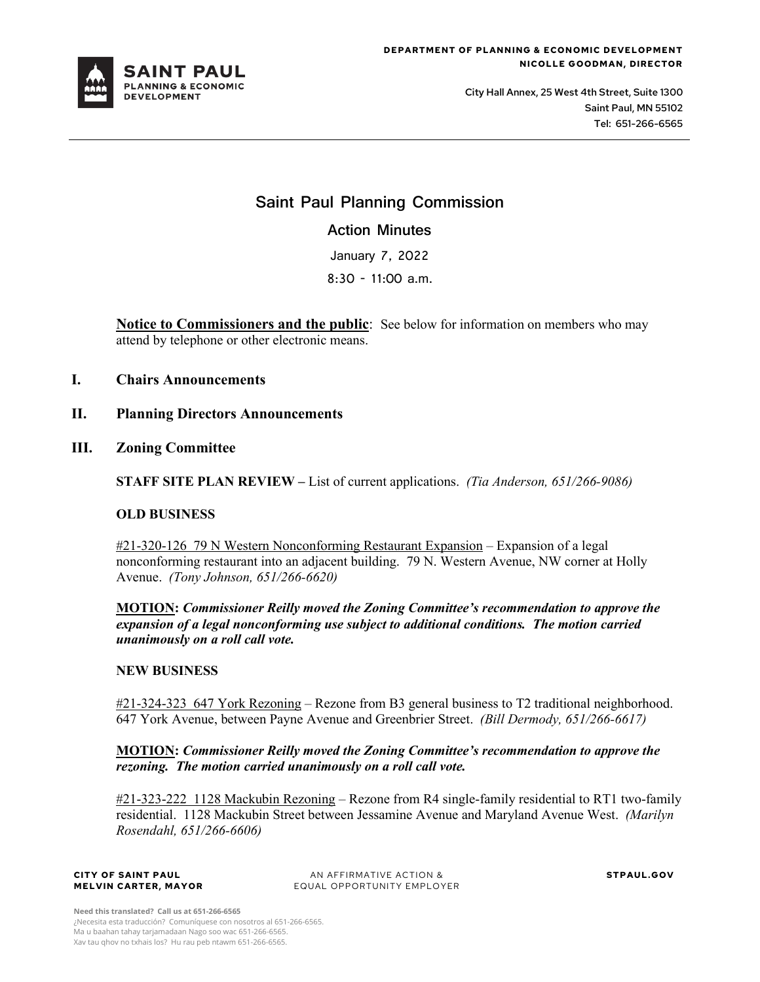

City Hall Annex, 25 West 4th Street, Suite 1300 Saint Paul, MN 55102 Tel: 651-266-6565

# **Saint Paul Planning Commission**

**Action Minutes**

January 7, 2022

8:30 - 11:00 a.m.

**Notice to Commissioners and the public**: See below for information on members who may attend by telephone or other electronic means.

- **I. Chairs Announcements**
- **II. Planning Directors Announcements**
- **III. Zoning Committee**

**STAFF SITE PLAN REVIEW –** List of current applications. *(Tia Anderson, 651/266-9086)*

### **OLD BUSINESS**

#21-320-126 79 N Western Nonconforming Restaurant Expansion – Expansion of a legal nonconforming restaurant into an adjacent building. 79 N. Western Avenue, NW corner at Holly Avenue. *(Tony Johnson, 651/266-6620)* 

**MOTION:** *Commissioner Reilly moved the Zoning Committee's recommendation to approve the expansion of a legal nonconforming use subject to additional conditions. The motion carried unanimously on a roll call vote.* 

### **NEW BUSINESS**

#21-324-323 647 York Rezoning – Rezone from B3 general business to T2 traditional neighborhood. 647 York Avenue, between Payne Avenue and Greenbrier Street. *(Bill Dermody, 651/266-6617)* 

### **MOTION:** *Commissioner Reilly moved the Zoning Committee's recommendation to approve the rezoning. The motion carried unanimously on a roll call vote.*

#21-323-222 1128 Mackubin Rezoning – Rezone from R4 single-family residential to RT1 two-family residential. 1128 Mackubin Street between Jessamine Avenue and Maryland Avenue West. *(Marilyn Rosendahl, 651/266-6606)* 

#### **CITY OF SAINT PAUL MELVIN CARTER, MAYOR**

AN AFFIRMATIVE ACTION & EQUAL OPPORTUNITY EMPLOYER **STPAUL.GOV**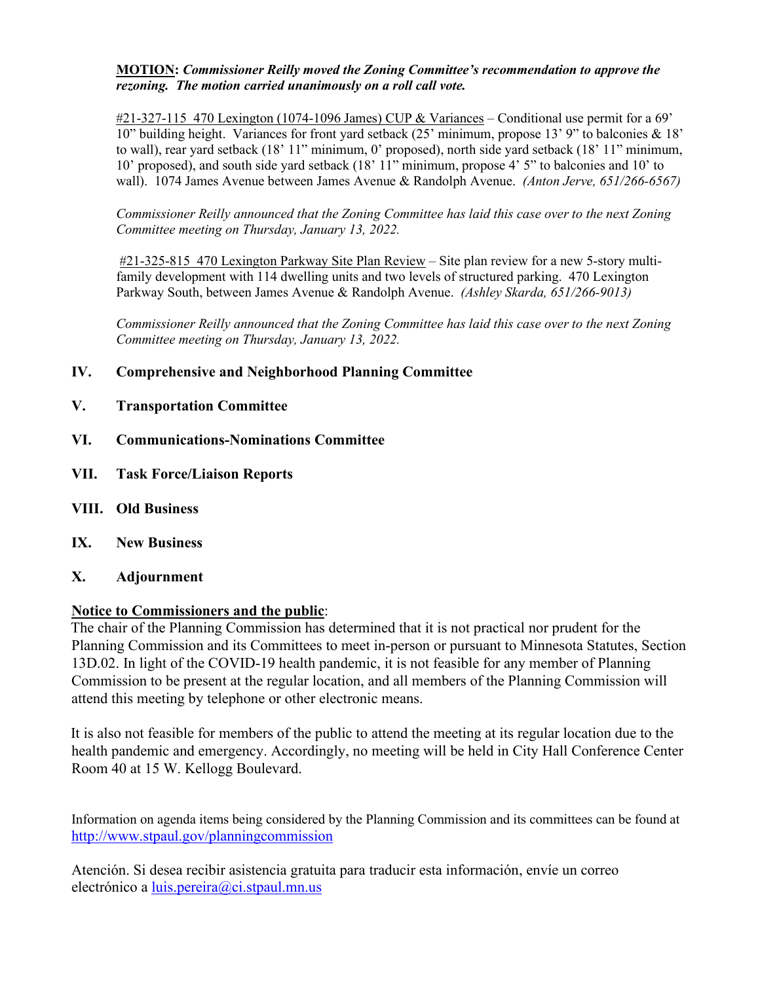### **MOTION:** *Commissioner Reilly moved the Zoning Committee's recommendation to approve the rezoning. The motion carried unanimously on a roll call vote.*

 $\#21$ -327-115 470 Lexington (1074-1096 James) CUP & Variances – Conditional use permit for a 69' 10" building height. Variances for front yard setback (25' minimum, propose 13' 9" to balconies & 18' to wall), rear yard setback (18' 11" minimum, 0' proposed), north side yard setback (18' 11" minimum, 10' proposed), and south side yard setback (18' 11" minimum, propose 4' 5" to balconies and 10' to wall). 1074 James Avenue between James Avenue & Randolph Avenue. *(Anton Jerve, 651/266-6567)* 

*Commissioner Reilly announced that the Zoning Committee has laid this case over to the next Zoning Committee meeting on Thursday, January 13, 2022.* 

#21-325-815 470 Lexington Parkway Site Plan Review – Site plan review for a new 5-story multifamily development with 114 dwelling units and two levels of structured parking. 470 Lexington Parkway South, between James Avenue & Randolph Avenue. *(Ashley Skarda, 651/266-9013)* 

*Commissioner Reilly announced that the Zoning Committee has laid this case over to the next Zoning Committee meeting on Thursday, January 13, 2022.* 

## **IV. Comprehensive and Neighborhood Planning Committee**

- **V. Transportation Committee**
- **VI. Communications-Nominations Committee**
- **VII. Task Force/Liaison Reports**
- **VIII. Old Business**
- **IX. New Business**
- **X. Adjournment**

## **Notice to Commissioners and the public**:

The chair of the Planning Commission has determined that it is not practical nor prudent for the Planning Commission and its Committees to meet in-person or pursuant to Minnesota Statutes, Section 13D.02. In light of the COVID-19 health pandemic, it is not feasible for any member of Planning Commission to be present at the regular location, and all members of the Planning Commission will attend this meeting by telephone or other electronic means.

It is also not feasible for members of the public to attend the meeting at its regular location due to the health pandemic and emergency. Accordingly, no meeting will be held in City Hall Conference Center Room 40 at 15 W. Kellogg Boulevard.

Information on agenda items being considered by the Planning Commission and its committees can be found at <http://www.stpaul.gov/planningcommission>

Atención. Si desea recibir asistencia gratuita para traducir esta información, envíe un correo electrónico a [luis.pereira@ci.stpaul.mn.us](mailto:luis.pereira@ci.stpaul.mn.us)